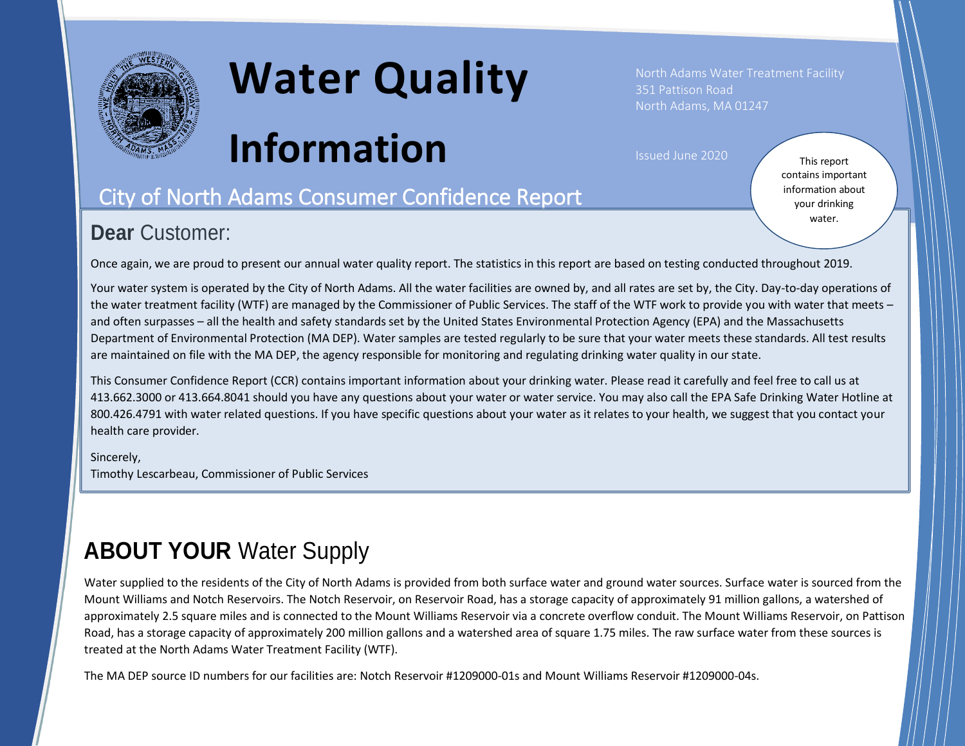

# **Water Quality**

**Information**

North Adams Water Treatment Facility 351 Pattison Road North Adams, MA 01247

Issued June 2020

## City of North Adams Consumer Confidence Report

#### **Dear** Customer:

This report contains important information about your drinking water.

Once again, we are proud to present our annual water quality report. The statistics in this report are based on testing conducted throughout 2019.

Your water system is operated by the City of North Adams. All the water facilities are owned by, and all rates are set by, the City. Day-to-day operations of the water treatment facility (WTF) are managed by the Commissioner of Public Services. The staff of the WTF work to provide you with water that meets – and often surpasses – all the health and safety standards set by the United States Environmental Protection Agency (EPA) and the Massachusetts Department of Environmental Protection (MA DEP). Water samples are tested regularly to be sure that your water meets these standards. All test results are maintained on file with the MA DEP, the agency responsible for monitoring and regulating drinking water quality in our state.

This Consumer Confidence Report (CCR) contains important information about your drinking water. Please read it carefully and feel free to call us at 413.662.3000 or 413.664.8041 should you have any questions about your water or water service. You may also call the EPA Safe Drinking Water Hotline at 800.426.4791 with water related questions. If you have specific questions about your water as it relates to your health, we suggest that you contact your health care provider.

#### Sincerely, Timothy Lescarbeau, Commissioner of Public Services

# **ABOUT YOUR** Water Supply

Water supplied to the residents of the City of North Adams is provided from both surface water and ground water sources. Surface water is sourced from the Mount Williams and Notch Reservoirs. The Notch Reservoir, on Reservoir Road, has a storage capacity of approximately 91 million gallons, a watershed of approximately 2.5 square miles and is connected to the Mount Williams Reservoir via a concrete overflow conduit. The Mount Williams Reservoir, on Pattison Road, has a storage capacity of approximately 200 million gallons and a watershed area of square 1.75 miles. The raw surface water from these sources is treated at the North Adams Water Treatment Facility (WTF).

The MA DEP source ID numbers for our facilities are: Notch Reservoir #1209000-01s and Mount Williams Reservoir #1209000-04s.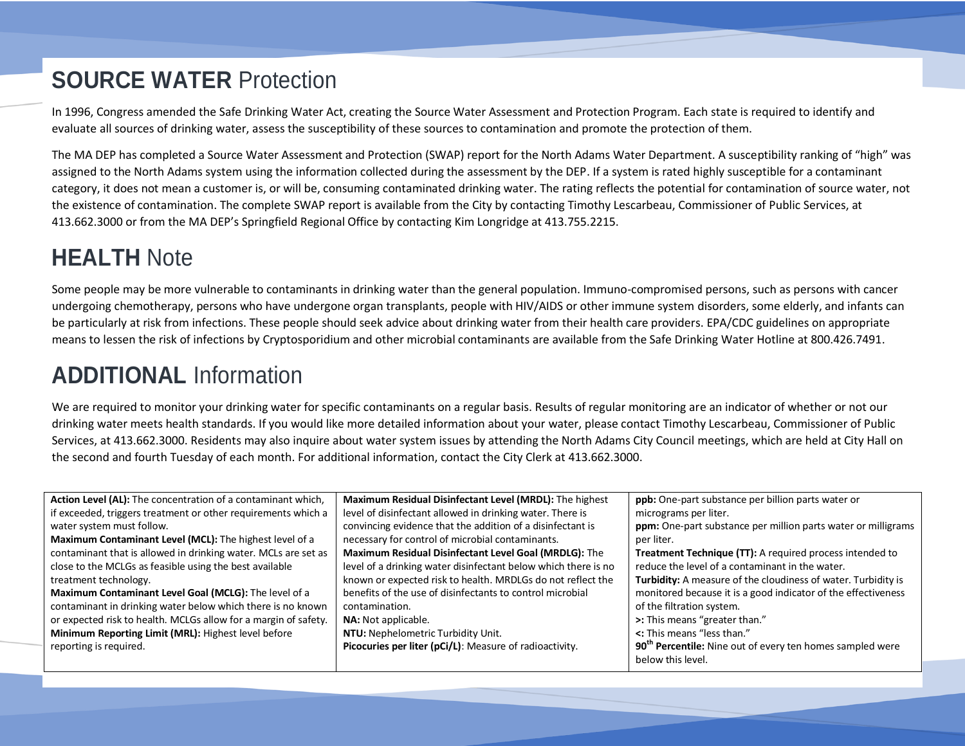# **SOURCE WATER** Protection

In 1996, Congress amended the Safe Drinking Water Act, creating the Source Water Assessment and Protection Program. Each state is required to identify and evaluate all sources of drinking water, assess the susceptibility of these sources to contamination and promote the protection of them.

The MA DEP has completed a Source Water Assessment and Protection (SWAP) report for the North Adams Water Department. A susceptibility ranking of "high" was assigned to the North Adams system using the information collected during the assessment by the DEP. If a system is rated highly susceptible for a contaminant category, it does not mean a customer is, or will be, consuming contaminated drinking water. The rating reflects the potential for contamination of source water, not the existence of contamination. The complete SWAP report is available from the City by contacting Timothy Lescarbeau, Commissioner of Public Services, at 413.662.3000 or from the MA DEP's Springfield Regional Office by contacting Kim Longridge at 413.755.2215.

## **HEALTH** Note

Some people may be more vulnerable to contaminants in drinking water than the general population. Immuno-compromised persons, such as persons with cancer undergoing chemotherapy, persons who have undergone organ transplants, people with HIV/AIDS or other immune system disorders, some elderly, and infants can be particularly at risk from infections. These people should seek advice about drinking water from their health care providers. EPA/CDC guidelines on appropriate means to lessen the risk of infections by Cryptosporidium and other microbial contaminants are available from the Safe Drinking Water Hotline at 800.426.7491.

## **ADDITIONAL** Information

We are required to monitor your drinking water for specific contaminants on a regular basis. Results of regular monitoring are an indicator of whether or not our drinking water meets health standards. If you would like more detailed information about your water, please contact Timothy Lescarbeau, Commissioner of Public Services, at 413.662.3000. Residents may also inquire about water system issues by attending the North Adams City Council meetings, which are held at City Hall on the second and fourth Tuesday of each month. For additional information, contact the City Clerk at 413.662.3000.

| Action Level (AL): The concentration of a contaminant which,    | Maximum Residual Disinfectant Level (MRDL): The highest        | ppb: One-part substance per billion parts water or                    |
|-----------------------------------------------------------------|----------------------------------------------------------------|-----------------------------------------------------------------------|
| if exceeded, triggers treatment or other requirements which a   | level of disinfectant allowed in drinking water. There is      | micrograms per liter.                                                 |
| water system must follow.                                       | convincing evidence that the addition of a disinfectant is     | ppm: One-part substance per million parts water or milligrams         |
| Maximum Contaminant Level (MCL): The highest level of a         | necessary for control of microbial contaminants.               | per liter.                                                            |
| contaminant that is allowed in drinking water. MCLs are set as  | <b>Maximum Residual Disinfectant Level Goal (MRDLG):</b> The   | <b>Treatment Technique (TT):</b> A required process intended to       |
| close to the MCLGs as feasible using the best available         | level of a drinking water disinfectant below which there is no | reduce the level of a contaminant in the water.                       |
| treatment technology.                                           | known or expected risk to health. MRDLGs do not reflect the    | Turbidity: A measure of the cloudiness of water. Turbidity is         |
| Maximum Contaminant Level Goal (MCLG): The level of a           | benefits of the use of disinfectants to control microbial      | monitored because it is a good indicator of the effectiveness         |
| contaminant in drinking water below which there is no known     | contamination.                                                 | of the filtration system.                                             |
| or expected risk to health. MCLGs allow for a margin of safety. | NA: Not applicable.                                            | >: This means "greater than."                                         |
| Minimum Reporting Limit (MRL): Highest level before             | NTU: Nephelometric Turbidity Unit.                             | <: This means "less than."                                            |
| reporting is required.                                          | Picocuries per liter (pCi/L): Measure of radioactivity.        | 90 <sup>th</sup> Percentile: Nine out of every ten homes sampled were |
|                                                                 |                                                                | below this level.                                                     |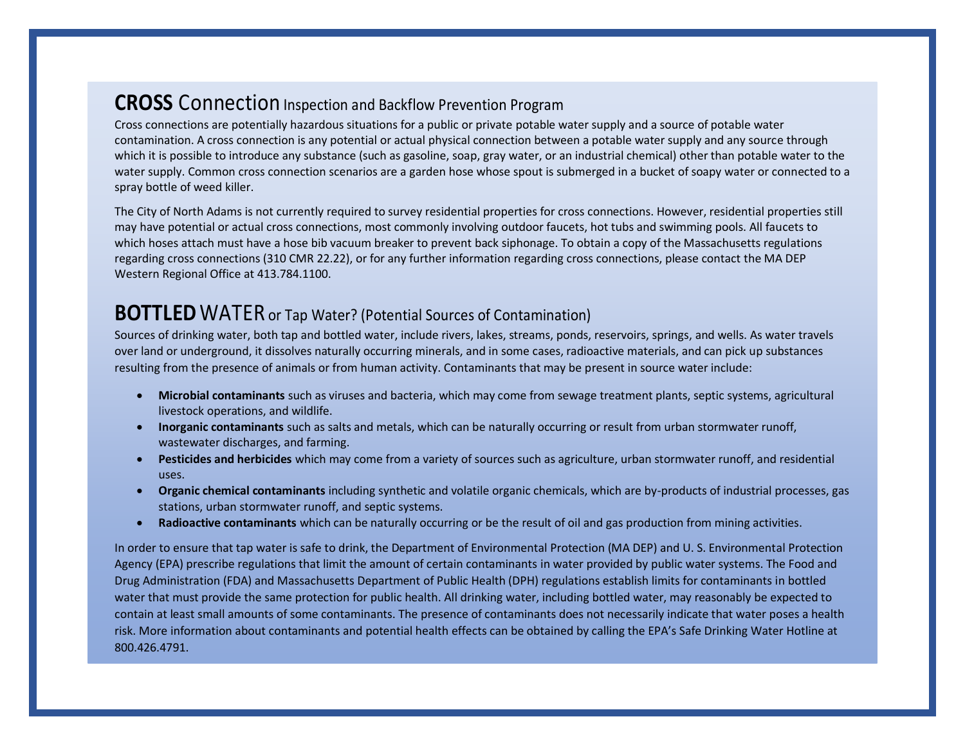#### **CROSS** Connection Inspection and Backflow Prevention Program

Cross connections are potentially hazardous situations for a public or private potable water supply and a source of potable water contamination. A cross connection is any potential or actual physical connection between a potable water supply and any source through which it is possible to introduce any substance (such as gasoline, soap, gray water, or an industrial chemical) other than potable water to the water supply. Common cross connection scenarios are a garden hose whose spout is submerged in a bucket of soapy water or connected to a spray bottle of weed killer.

The City of North Adams is not currently required to survey residential properties for cross connections. However, residential properties still may have potential or actual cross connections, most commonly involving outdoor faucets, hot tubs and swimming pools. All faucets to which hoses attach must have a hose bib vacuum breaker to prevent back siphonage. To obtain a copy of the Massachusetts regulations regarding cross connections (310 CMR 22.22), or for any further information regarding cross connections, please contact the MA DEP Western Regional Office at 413.784.1100.

#### **BOTTLED** WATER or Tap Water? (Potential Sources of Contamination)

Sources of drinking water, both tap and bottled water, include rivers, lakes, streams, ponds, reservoirs, springs, and wells. As water travels over land or underground, it dissolves naturally occurring minerals, and in some cases, radioactive materials, and can pick up substances resulting from the presence of animals or from human activity. Contaminants that may be present in source water include:

- **Microbial contaminants** such as viruses and bacteria, which may come from sewage treatment plants, septic systems, agricultural livestock operations, and wildlife.
- **Inorganic contaminants** such as salts and metals, which can be naturally occurring or result from urban stormwater runoff, wastewater discharges, and farming.
- **Pesticides and herbicides** which may come from a variety of sources such as agriculture, urban stormwater runoff, and residential uses.
- **Organic chemical contaminants** including synthetic and volatile organic chemicals, which are by-products of industrial processes, gas stations, urban stormwater runoff, and septic systems.
- **Radioactive contaminants** which can be naturally occurring or be the result of oil and gas production from mining activities.

In order to ensure that tap water is safe to drink, the Department of Environmental Protection (MA DEP) and U. S. Environmental Protection Agency (EPA) prescribe regulations that limit the amount of certain contaminants in water provided by public water systems. The Food and Drug Administration (FDA) and Massachusetts Department of Public Health (DPH) regulations establish limits for contaminants in bottled water that must provide the same protection for public health. All drinking water, including bottled water, may reasonably be expected to contain at least small amounts of some contaminants. The presence of contaminants does not necessarily indicate that water poses a health risk. More information about contaminants and potential health effects can be obtained by calling the EPA's Safe Drinking Water Hotline at 800.426.4791.